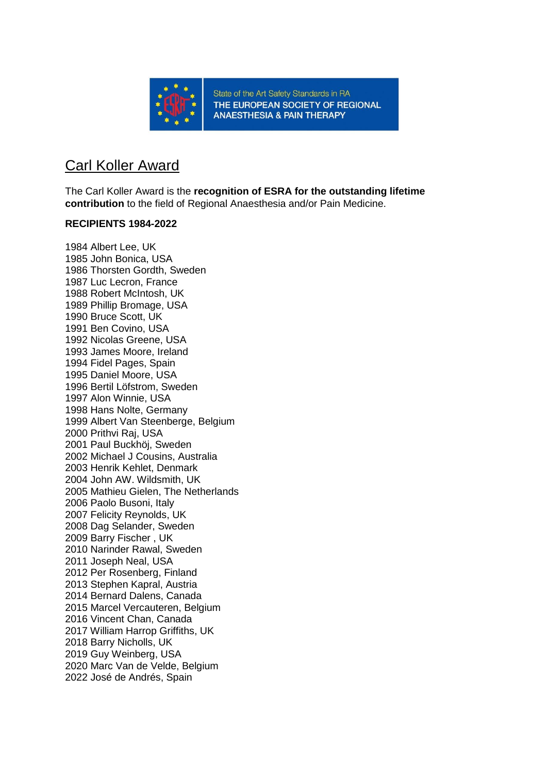

State of the Art Safety Standards in RA THE EUROPEAN SOCIETY OF REGIONAL **ANAESTHESIA & PAIN THERAPY** 

## Carl Koller Award

The Carl Koller Award is the **recognition of ESRA for the outstanding lifetime contribution** to the field of Regional Anaesthesia and/or Pain Medicine.

### **RECIPIENTS 1984-2022**

1984 Albert Lee, UK 1985 John Bonica, USA 1986 Thorsten Gordth, Sweden 1987 Luc Lecron, France 1988 Robert McIntosh, UK 1989 Phillip Bromage, USA 1990 Bruce Scott, UK 1991 Ben Covino, USA 1992 Nicolas Greene, USA 1993 James Moore, Ireland 1994 Fidel Pages, Spain 1995 Daniel Moore, USA 1996 Bertil Löfstrom, Sweden 1997 Alon Winnie, USA 1998 Hans Nolte, Germany 1999 Albert Van Steenberge, Belgium 2000 Prithvi Raj, USA 2001 Paul Buckhöj, Sweden 2002 Michael J Cousins, Australia 2003 Henrik Kehlet, Denmark 2004 John AW. Wildsmith, UK 2005 Mathieu Gielen, The Netherlands 2006 Paolo Busoni, Italy 2007 Felicity Reynolds, UK 2008 Dag Selander, Sweden 2009 Barry Fischer , UK 2010 Narinder Rawal, Sweden 2011 Joseph Neal, USA 2012 Per Rosenberg, Finland 2013 Stephen Kapral, Austria 2014 Bernard Dalens, Canada 2015 Marcel Vercauteren, Belgium 2016 Vincent Chan, Canada 2017 William Harrop Griffiths, UK 2018 Barry Nicholls, UK 2019 Guy Weinberg, USA 2020 Marc Van de Velde, Belgium 2022 José de Andrés, Spain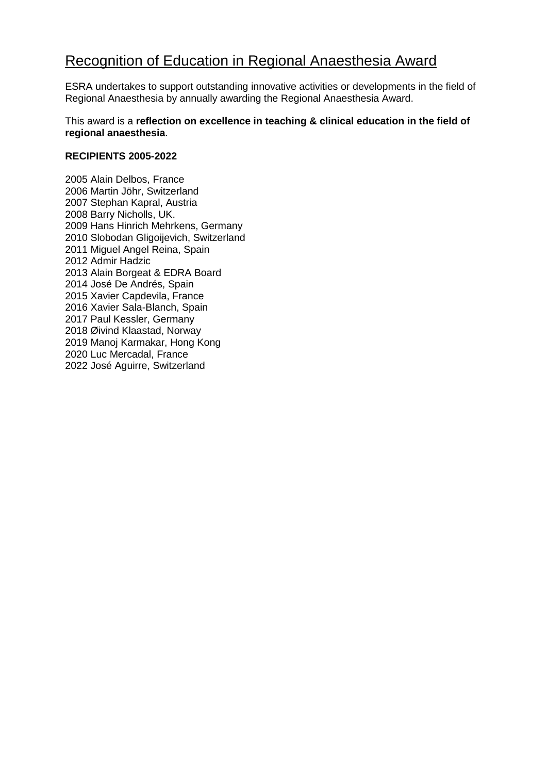## Recognition of Education in Regional Anaesthesia Award

ESRA undertakes to support outstanding innovative activities or developments in the field of Regional Anaesthesia by annually awarding the Regional Anaesthesia Award.

This award is a **reflection on excellence in teaching & clinical education in the field of regional anaesthesia**.

#### **RECIPIENTS 2005-2022**

2005 Alain Delbos, France 2006 Martin Jöhr, Switzerland 2007 Stephan Kapral, Austria 2008 Barry Nicholls, UK. 2009 Hans Hinrich Mehrkens, Germany 2010 Slobodan Gligoijevich, Switzerland 2011 Miguel Angel Reina, Spain 2012 Admir Hadzic 2013 Alain Borgeat & EDRA Board 2014 José De Andrés, Spain 2015 Xavier Capdevila, France 2016 Xavier Sala-Blanch, Spain 2017 Paul Kessler, Germany 2018 Øivind Klaastad, Norway 2019 Manoj Karmakar, Hong Kong 2020 Luc Mercadal, France 2022 José Aguirre, Switzerland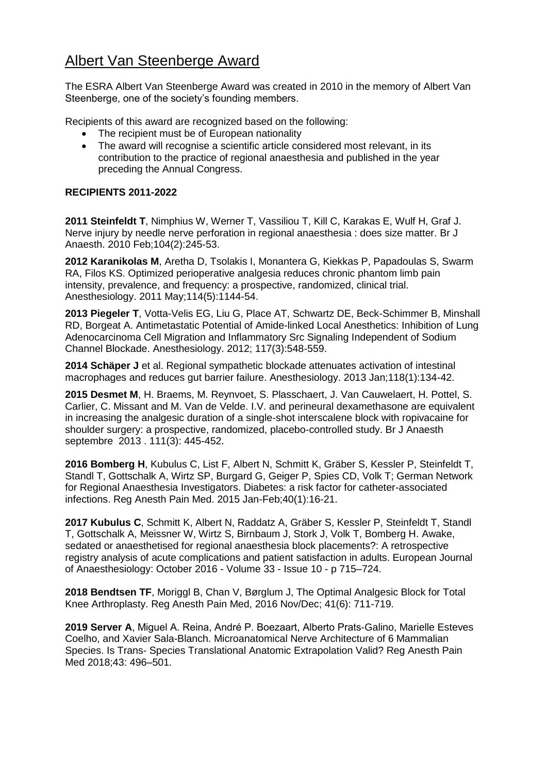## Albert Van Steenberge Award

The ESRA Albert Van Steenberge Award was created in 2010 in the memory of Albert Van Steenberge, one of the society's founding members.

Recipients of this award are recognized based on the following:

- The recipient must be of European nationality
- The award will recognise a scientific article considered most relevant, in its contribution to the practice of regional anaesthesia and published in the year preceding the Annual Congress.

### **RECIPIENTS 2011-2022**

**2011 Steinfeldt T**, Nimphius W, Werner T, Vassiliou T, Kill C, Karakas E, Wulf H, Graf J. Nerve injury by needle nerve perforation in regional anaesthesia : does size matter. Br J Anaesth. 2010 Feb;104(2):245-53.

**2012 Karanikolas M**, Aretha D, Tsolakis I, Monantera G, Kiekkas P, Papadoulas S, Swarm RA, Filos KS. Optimized perioperative analgesia reduces chronic phantom limb pain intensity, prevalence, and frequency: a prospective, randomized, clinical trial. Anesthesiology. 2011 May;114(5):1144-54.

**2013 Piegeler T**, Votta-Velis EG, Liu G, Place AT, Schwartz DE, Beck-Schimmer B, Minshall RD, Borgeat A. Antimetastatic Potential of Amide-linked Local Anesthetics: Inhibition of Lung Adenocarcinoma Cell Migration and Inflammatory Src Signaling Independent of Sodium Channel Blockade. Anesthesiology. 2012; 117(3):548-559.

**2014 Schäper J** et al. Regional sympathetic blockade attenuates activation of intestinal macrophages and reduces gut barrier failure. Anesthesiology. 2013 Jan;118(1):134-42.

**2015 Desmet M**, H. Braems, M. Reynvoet, S. Plasschaert, J. Van Cauwelaert, H. Pottel, S. Carlier, C. Missant and M. Van de Velde. I.V. and perineural dexamethasone are equivalent in increasing the analgesic duration of a single-shot interscalene block with ropivacaine for shoulder surgery: a prospective, randomized, placebo-controlled study. Br J Anaesth septembre 2013 . 111(3): 445-452.

**2016 Bomberg H**, Kubulus C, List F, Albert N, Schmitt K, Gräber S, Kessler P, Steinfeldt T, Standl T, Gottschalk A, Wirtz SP, Burgard G, Geiger P, Spies CD, Volk T; German Network for Regional Anaesthesia Investigators. Diabetes: a risk factor for catheter-associated infections. Reg Anesth Pain Med. 2015 Jan-Feb;40(1):16-21.

**2017 Kubulus C**, Schmitt K, Albert N, Raddatz A, Gräber S, Kessler P, Steinfeldt T, Standl T, Gottschalk A, Meissner W, Wirtz S, Birnbaum J, Stork J, Volk T, Bomberg H. Awake, sedated or anaesthetised for regional anaesthesia block placements?: A retrospective registry analysis of acute complications and patient satisfaction in adults. European Journal of Anaesthesiology: October 2016 - Volume 33 - Issue 10 - p 715–724.

**2018 Bendtsen TF**, Moriggl B, Chan V, Børglum J, The Optimal Analgesic Block for Total Knee Arthroplasty. Reg Anesth Pain Med, 2016 Nov/Dec; 41(6): 711-719.

**2019 Server A**, Miguel A. Reina, André P. Boezaart, Alberto Prats-Galino, Marielle Esteves Coelho, and Xavier Sala-Blanch. Microanatomical Nerve Architecture of 6 Mammalian Species. Is Trans- Species Translational Anatomic Extrapolation Valid? Reg Anesth Pain Med 2018;43: 496–501.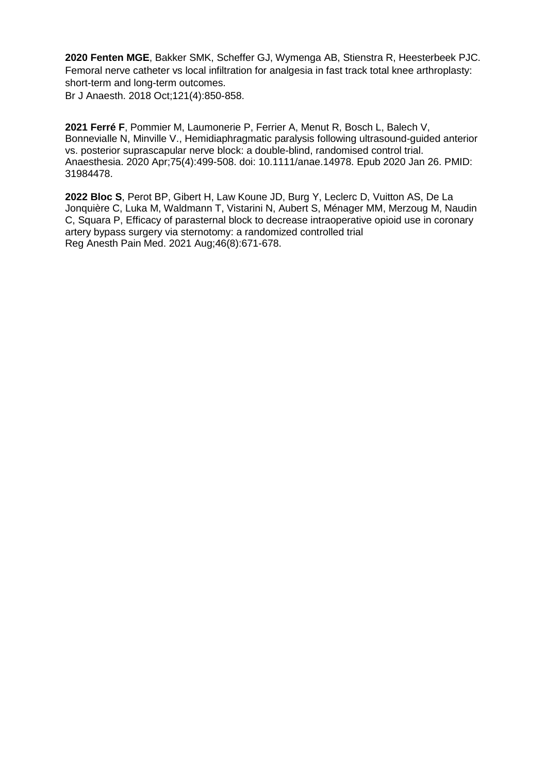**2020 Fenten MGE**, Bakker SMK, Scheffer GJ, Wymenga AB, Stienstra R, Heesterbeek PJC. Femoral nerve catheter vs local infiltration for analgesia in fast track total knee arthroplasty: short-term and long-term outcomes.

Br J Anaesth. 2018 Oct;121(4):850-858.

**2021 Ferré F**, Pommier M, Laumonerie P, Ferrier A, Menut R, Bosch L, Balech V, Bonnevialle N, Minville V., Hemidiaphragmatic paralysis following ultrasound-guided anterior vs. posterior suprascapular nerve block: a double-blind, randomised control trial. Anaesthesia. 2020 Apr;75(4):499-508. doi: 10.1111/anae.14978. Epub 2020 Jan 26. PMID: 31984478.

**2022 Bloc S**, Perot BP, Gibert H, Law Koune JD, Burg Y, Leclerc D, Vuitton AS, De La Jonquière C, Luka M, Waldmann T, Vistarini N, Aubert S, Ménager MM, Merzoug M, Naudin C, Squara P, Efficacy of parasternal block to decrease intraoperative opioid use in coronary artery bypass surgery via sternotomy: a randomized controlled trial Reg Anesth Pain Med. 2021 Aug;46(8):671-678.